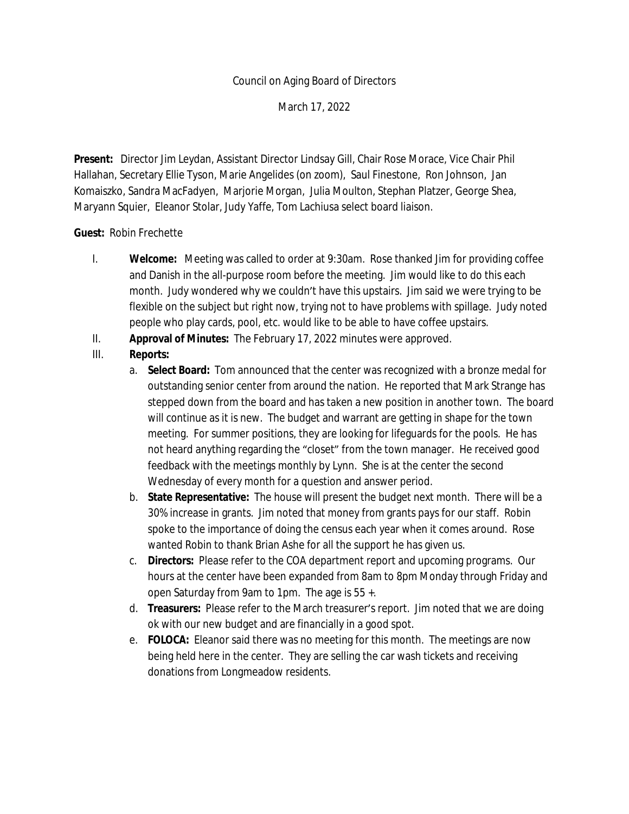### Council on Aging Board of Directors

March 17, 2022

**Present:** Director Jim Leydan, Assistant Director Lindsay Gill, Chair Rose Morace, Vice Chair Phil Hallahan, Secretary Ellie Tyson, Marie Angelides (on zoom), Saul Finestone, Ron Johnson, Jan Komaiszko, Sandra MacFadyen, Marjorie Morgan, Julia Moulton, Stephan Platzer, George Shea, Maryann Squier, Eleanor Stolar, Judy Yaffe, Tom Lachiusa select board liaison.

#### **Guest:** Robin Frechette

- I. **Welcome:** Meeting was called to order at 9:30am. Rose thanked Jim for providing coffee and Danish in the all-purpose room before the meeting. Jim would like to do this each month. Judy wondered why we couldn't have this upstairs. Jim said we were trying to be flexible on the subject but right now, trying not to have problems with spillage. Judy noted people who play cards, pool, etc. would like to be able to have coffee upstairs.
- II. **Approval of Minutes:** The February 17, 2022 minutes were approved.
- III. **Reports:**
	- a. **Select Board:** Tom announced that the center was recognized with a bronze medal for outstanding senior center from around the nation. He reported that Mark Strange has stepped down from the board and has taken a new position in another town. The board will continue as it is new. The budget and warrant are getting in shape for the town meeting. For summer positions, they are looking for lifeguards for the pools. He has not heard anything regarding the "closet" from the town manager. He received good feedback with the meetings monthly by Lynn. She is at the center the second Wednesday of every month for a question and answer period.
	- b. **State Representative:** The house will present the budget next month. There will be a 30% increase in grants. Jim noted that money from grants pays for our staff. Robin spoke to the importance of doing the census each year when it comes around. Rose wanted Robin to thank Brian Ashe for all the support he has given us.
	- c. **Directors:** Please refer to the COA department report and upcoming programs. Our hours at the center have been expanded from 8am to 8pm Monday through Friday and open Saturday from 9am to 1pm. The age is 55 +.
	- d. **Treasurers:** Please refer to the March treasurer's report. Jim noted that we are doing ok with our new budget and are financially in a good spot.
	- e. **FOLOCA:** Eleanor said there was no meeting for this month. The meetings are now being held here in the center. They are selling the car wash tickets and receiving donations from Longmeadow residents.